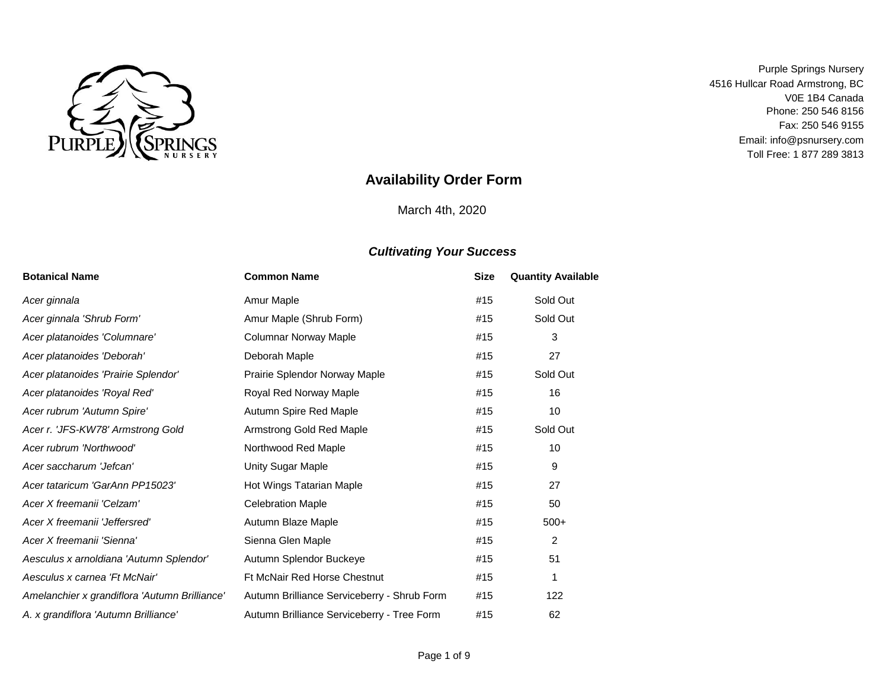

V0E 1B4 Canada Fax: 250 546 9155 Purple Springs Nursery 4516 Hullcar Road Armstrong, BC Toll Free: 1 877 289 3813 Phone: 250 546 8156 Email: info@psnursery.com

# **Availability Order Form**

March 4th, 2020

| <b>Botanical Name</b>                         | <b>Common Name</b>                          | <b>Size</b> | <b>Quantity Available</b> |
|-----------------------------------------------|---------------------------------------------|-------------|---------------------------|
| Acer ginnala                                  | Amur Maple                                  | #15         | Sold Out                  |
| Acer ginnala 'Shrub Form'                     | Amur Maple (Shrub Form)                     | #15         | Sold Out                  |
| Acer platanoides 'Columnare'                  | Columnar Norway Maple                       | #15         | 3                         |
| Acer platanoides 'Deborah'                    | Deborah Maple                               | #15         | 27                        |
| Acer platanoides 'Prairie Splendor'           | Prairie Splendor Norway Maple               | #15         | Sold Out                  |
| Acer platanoides 'Royal Red'                  | Royal Red Norway Maple                      | #15         | 16                        |
| Acer rubrum 'Autumn Spire'                    | Autumn Spire Red Maple                      | #15         | 10                        |
| Acer r. 'JFS-KW78' Armstrong Gold             | Armstrong Gold Red Maple                    | #15         | Sold Out                  |
| Acer rubrum 'Northwood'                       | Northwood Red Maple                         | #15         | 10                        |
| Acer saccharum 'Jefcan'                       | Unity Sugar Maple                           | #15         | 9                         |
| Acer tataricum 'GarAnn PP15023'               | Hot Wings Tatarian Maple                    | #15         | 27                        |
| Acer X freemanii 'Celzam'                     | <b>Celebration Maple</b>                    | #15         | 50                        |
| Acer X freemanii 'Jeffersred'                 | Autumn Blaze Maple                          | #15         | $500+$                    |
| Acer X freemanii 'Sienna'                     | Sienna Glen Maple                           | #15         | $\overline{2}$            |
| Aesculus x arnoldiana 'Autumn Splendor'       | Autumn Splendor Buckeye                     | #15         | 51                        |
| Aesculus x carnea 'Ft McNair'                 | <b>Ft McNair Red Horse Chestnut</b>         | #15         | 1                         |
| Amelanchier x grandiflora 'Autumn Brilliance' | Autumn Brilliance Serviceberry - Shrub Form | #15         | 122                       |
| A. x grandiflora 'Autumn Brilliance'          | Autumn Brilliance Serviceberry - Tree Form  | #15         | 62                        |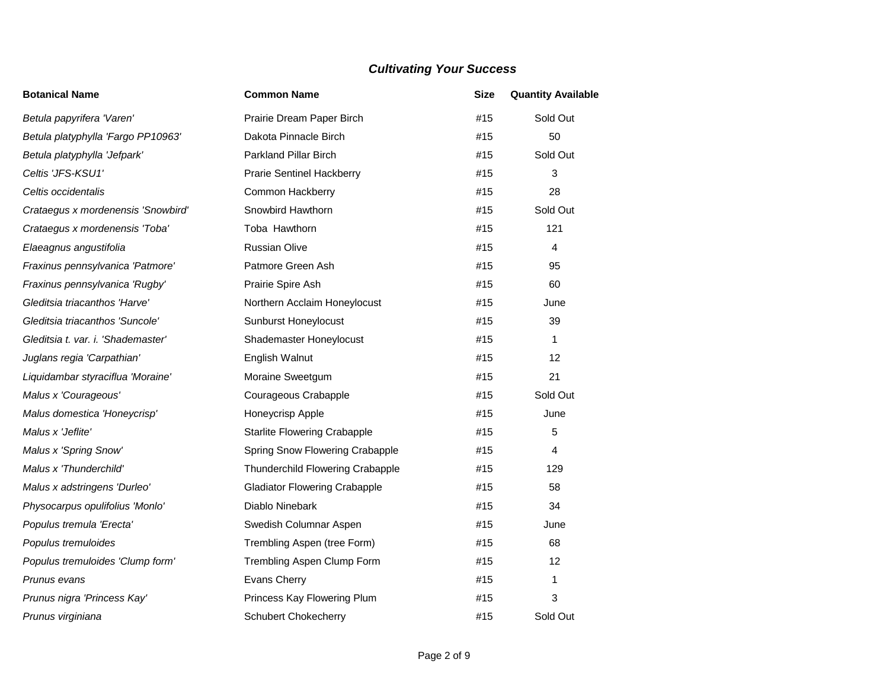| <b>Botanical Name</b>              | <b>Common Name</b>                   | <b>Size</b> | <b>Quantity Available</b> |
|------------------------------------|--------------------------------------|-------------|---------------------------|
| Betula papyrifera 'Varen'          | Prairie Dream Paper Birch            | #15         | Sold Out                  |
| Betula platyphylla 'Fargo PP10963' | Dakota Pinnacle Birch                | #15         | 50                        |
| Betula platyphylla 'Jefpark'       | <b>Parkland Pillar Birch</b>         | #15         | Sold Out                  |
| Celtis 'JFS-KSU1'                  | <b>Prarie Sentinel Hackberry</b>     | #15         | 3                         |
| Celtis occidentalis                | Common Hackberry                     | #15         | 28                        |
| Crataegus x mordenensis 'Snowbird' | Snowbird Hawthorn                    | #15         | Sold Out                  |
| Crataegus x mordenensis 'Toba'     | Toba Hawthorn                        | #15         | 121                       |
| Elaeagnus angustifolia             | <b>Russian Olive</b>                 | #15         | 4                         |
| Fraxinus pennsylvanica 'Patmore'   | Patmore Green Ash                    | #15         | 95                        |
| Fraxinus pennsylvanica 'Rugby'     | Prairie Spire Ash                    | #15         | 60                        |
| Gleditsia triacanthos 'Harve'      | Northern Acclaim Honeylocust         | #15         | June                      |
| Gleditsia triacanthos 'Suncole'    | <b>Sunburst Honeylocust</b>          | #15         | 39                        |
| Gleditsia t. var. i. 'Shademaster' | Shademaster Honeylocust              | #15         | 1                         |
| Juglans regia 'Carpathian'         | English Walnut                       | #15         | 12                        |
| Liquidambar styraciflua 'Moraine'  | Moraine Sweetgum                     | #15         | 21                        |
| Malus x 'Courageous'               | Courageous Crabapple                 | #15         | Sold Out                  |
| Malus domestica 'Honeycrisp'       | Honeycrisp Apple                     | #15         | June                      |
| Malus x 'Jeflite'                  | <b>Starlite Flowering Crabapple</b>  | #15         | 5                         |
| Malus x 'Spring Snow'              | Spring Snow Flowering Crabapple      | #15         | 4                         |
| Malus x 'Thunderchild'             | Thunderchild Flowering Crabapple     | #15         | 129                       |
| Malus x adstringens 'Durleo'       | <b>Gladiator Flowering Crabapple</b> | #15         | 58                        |
| Physocarpus opulifolius 'Monlo'    | Diablo Ninebark                      | #15         | 34                        |
| Populus tremula 'Erecta'           | Swedish Columnar Aspen               | #15         | June                      |
| Populus tremuloides                | Trembling Aspen (tree Form)          | #15         | 68                        |
| Populus tremuloides 'Clump form'   | Trembling Aspen Clump Form           | #15         | 12                        |
| Prunus evans                       | Evans Cherry                         | #15         | 1                         |
| Prunus nigra 'Princess Kay'        | Princess Kay Flowering Plum          | #15         | 3                         |
| Prunus virginiana                  | <b>Schubert Chokecherry</b>          | #15         | Sold Out                  |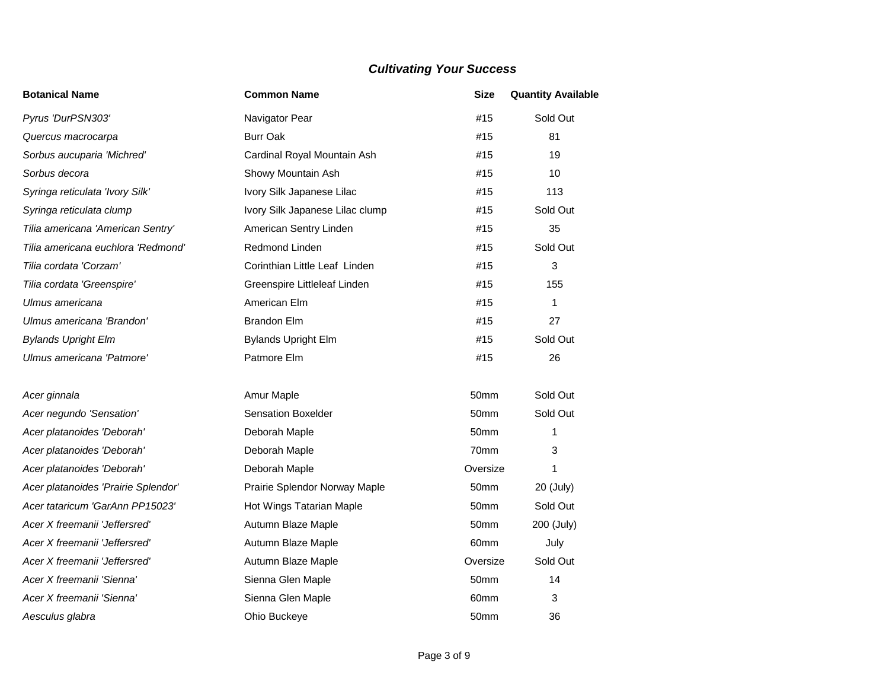| <b>Botanical Name</b>               | <b>Common Name</b>              | <b>Size</b>      | <b>Quantity Available</b> |
|-------------------------------------|---------------------------------|------------------|---------------------------|
| Pyrus 'DurPSN303'                   | Navigator Pear                  | #15              | Sold Out                  |
| Quercus macrocarpa                  | <b>Burr Oak</b>                 | #15              | 81                        |
| Sorbus aucuparia 'Michred'          | Cardinal Royal Mountain Ash     | #15              | 19                        |
| Sorbus decora                       | Showy Mountain Ash              | #15              | 10                        |
| Syringa reticulata 'Ivory Silk'     | Ivory Silk Japanese Lilac       | #15              | 113                       |
| Syringa reticulata clump            | Ivory Silk Japanese Lilac clump | #15              | Sold Out                  |
| Tilia americana 'American Sentry'   | American Sentry Linden          | #15              | 35                        |
| Tilia americana euchlora 'Redmond'  | Redmond Linden                  | #15              | Sold Out                  |
| Tilia cordata 'Corzam'              | Corinthian Little Leaf Linden   | #15              | 3                         |
| Tilia cordata 'Greenspire'          | Greenspire Littleleaf Linden    | #15              | 155                       |
| Ulmus americana                     | American Elm                    | #15              | 1                         |
| Ulmus americana 'Brandon'           | <b>Brandon Elm</b>              | #15              | 27                        |
| <b>Bylands Upright Elm</b>          | <b>Bylands Upright Elm</b>      | #15              | Sold Out                  |
| Ulmus americana 'Patmore'           | Patmore Elm                     | #15              | 26                        |
| Acer ginnala                        | Amur Maple                      | 50 <sub>mm</sub> | Sold Out                  |
| Acer negundo 'Sensation'            | <b>Sensation Boxelder</b>       | 50mm             | Sold Out                  |
| Acer platanoides 'Deborah'          | Deborah Maple                   | 50mm             | 1                         |
| Acer platanoides 'Deborah'          | Deborah Maple                   | 70mm             | 3                         |
| Acer platanoides 'Deborah'          | Deborah Maple                   | Oversize         | 1                         |
| Acer platanoides 'Prairie Splendor' | Prairie Splendor Norway Maple   | 50mm             | 20 (July)                 |
| Acer tataricum 'GarAnn PP15023'     | Hot Wings Tatarian Maple        | 50mm             | Sold Out                  |
| Acer X freemanii 'Jeffersred'       | Autumn Blaze Maple              | 50mm             | 200 (July)                |
| Acer X freemanii 'Jeffersred'       | Autumn Blaze Maple              | 60mm             | July                      |
| Acer X freemanii 'Jeffersred'       | Autumn Blaze Maple              | Oversize         | Sold Out                  |
| Acer X freemanii 'Sienna'           | Sienna Glen Maple               | 50 <sub>mm</sub> | 14                        |
| Acer X freemanii 'Sienna'           | Sienna Glen Maple               | 60 <sub>mm</sub> | 3                         |
| Aesculus glabra                     | <b>Ohio Buckeve</b>             | 50mm             | 36                        |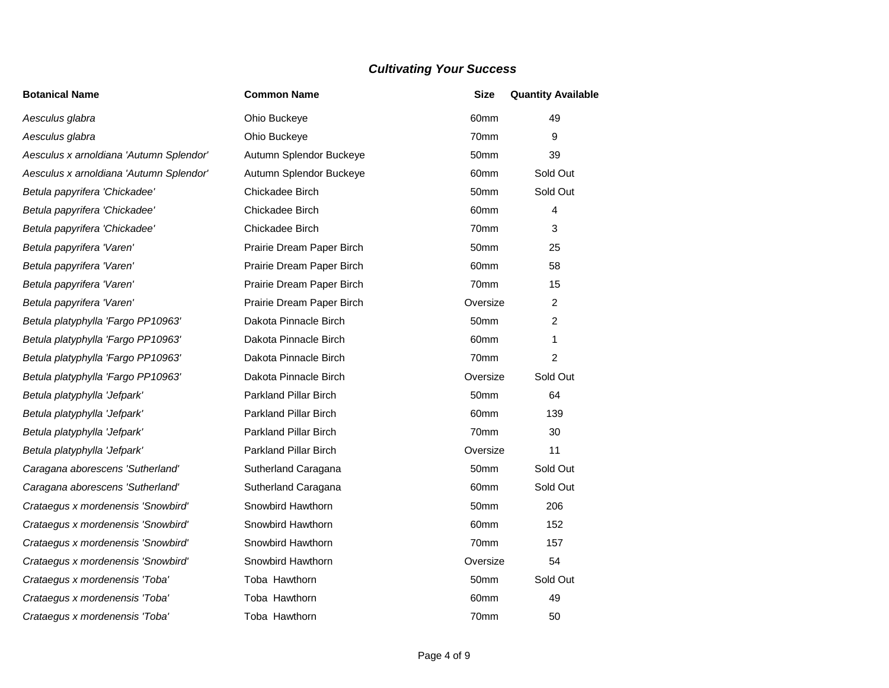| <b>Botanical Name</b>                   | <b>Common Name</b>           | <b>Size</b>      | <b>Quantity Available</b> |
|-----------------------------------------|------------------------------|------------------|---------------------------|
| Aesculus glabra                         | Ohio Buckeye                 | 60mm             | 49                        |
| Aesculus glabra                         | Ohio Buckeye                 | 70mm             | 9                         |
| Aesculus x arnoldiana 'Autumn Splendor' | Autumn Splendor Buckeye      | 50mm             | 39                        |
| Aesculus x arnoldiana 'Autumn Splendor' | Autumn Splendor Buckeye      | 60 <sub>mm</sub> | Sold Out                  |
| Betula papyrifera 'Chickadee'           | Chickadee Birch              | 50mm             | Sold Out                  |
| Betula papyrifera 'Chickadee'           | Chickadee Birch              | 60mm             | 4                         |
| Betula papyrifera 'Chickadee'           | Chickadee Birch              | 70mm             | 3                         |
| Betula papyrifera 'Varen'               | Prairie Dream Paper Birch    | 50mm             | 25                        |
| Betula papyrifera 'Varen'               | Prairie Dream Paper Birch    | 60mm             | 58                        |
| Betula papyrifera 'Varen'               | Prairie Dream Paper Birch    | 70mm             | 15                        |
| Betula papyrifera 'Varen'               | Prairie Dream Paper Birch    | Oversize         | $\boldsymbol{2}$          |
| Betula platyphylla 'Fargo PP10963'      | Dakota Pinnacle Birch        | 50mm             | $\overline{2}$            |
| Betula platyphylla 'Fargo PP10963'      | Dakota Pinnacle Birch        | 60mm             | 1                         |
| Betula platyphylla 'Fargo PP10963'      | Dakota Pinnacle Birch        | 70mm             | $\overline{2}$            |
| Betula platyphylla 'Fargo PP10963'      | Dakota Pinnacle Birch        | Oversize         | Sold Out                  |
| Betula platyphylla 'Jefpark'            | Parkland Pillar Birch        | 50mm             | 64                        |
| Betula platyphylla 'Jefpark'            | <b>Parkland Pillar Birch</b> | 60mm             | 139                       |
| Betula platyphylla 'Jefpark'            | Parkland Pillar Birch        | 70mm             | 30                        |
| Betula platyphylla 'Jefpark'            | Parkland Pillar Birch        | Oversize         | 11                        |
| Caragana aborescens 'Sutherland'        | Sutherland Caragana          | 50mm             | Sold Out                  |
| Caragana aborescens 'Sutherland'        | Sutherland Caragana          | 60mm             | Sold Out                  |
| Crataegus x mordenensis 'Snowbird'      | Snowbird Hawthorn            | 50mm             | 206                       |
| Crataegus x mordenensis 'Snowbird'      | Snowbird Hawthorn            | 60 <sub>mm</sub> | 152                       |
| Crataegus x mordenensis 'Snowbird'      | Snowbird Hawthorn            | 70mm             | 157                       |
| Crataegus x mordenensis 'Snowbird'      | Snowbird Hawthorn            | Oversize         | 54                        |
| Crataegus x mordenensis 'Toba'          | Toba Hawthorn                | 50mm             | Sold Out                  |
| Crataegus x mordenensis 'Toba'          | Toba Hawthorn                | 60mm             | 49                        |
| Crataegus x mordenensis 'Toba'          | Toba Hawthorn                | 70mm             | 50                        |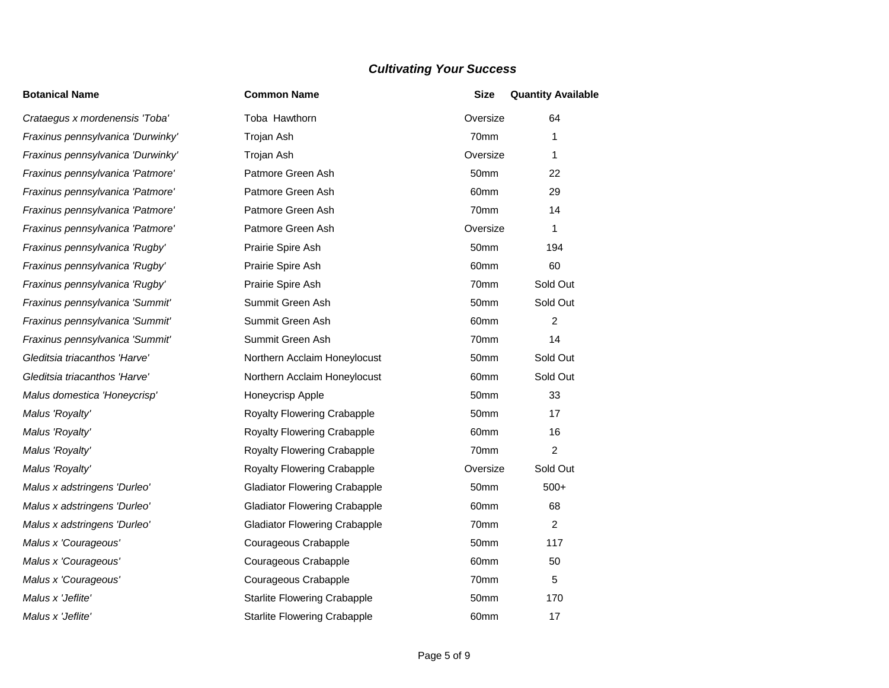| Crataegus x mordenensis 'Toba'    |
|-----------------------------------|
| Fraxinus pennsylvanica 'Durwinky' |
| Fraxinus pennsylvanica 'Durwinky' |
| Fraxinus pennsylvanica 'Patmore'  |
| Fraxinus pennsylvanica 'Patmore'  |
| Fraxinus pennsylvanica 'Patmore'  |
| Fraxinus pennsylvanica 'Patmore'  |
| Fraxinus pennsylvanica 'Rugby'    |
| Fraxinus pennsylvanica 'Rugby'    |
| Fraxinus pennsylvanica 'Rugby'    |
| Fraxinus pennsylvanica 'Summit'   |
| Fraxinus pennsylvanica 'Summit'   |
| Fraxinus pennsylvanica 'Summit'   |
| Gleditsia triacanthos 'Harve'     |
| Gleditsia triacanthos 'Harve'     |
| Malus domestica 'Honeycrisp'      |
| Malus 'Royalty'                   |
| Malus 'Royalty'                   |
| Malus 'Royalty'                   |
| Malus 'Royalty'                   |
| Malus x adstringens 'Durleo'      |
| Malus x adstringens 'Durleo'      |
| Malus x adstringens 'Durleo'      |
| Malus x 'Courageous'              |
| Malus x 'Courageous'              |
| Malus x 'Courageous'              |
| Malus x 'Jeflite'                 |
| Malus x 'Jeflite'                 |

| <b>Botanical Name</b>             | <b>Common Name</b>                   | <b>Size</b>      | <b>Quantity Available</b> |
|-----------------------------------|--------------------------------------|------------------|---------------------------|
| Crataegus x mordenensis 'Toba'    | Toba Hawthorn                        | Oversize         | 64                        |
| Fraxinus pennsylvanica 'Durwinky' | Trojan Ash                           | 70 <sub>mm</sub> | 1                         |
| Fraxinus pennsylvanica 'Durwinky' | Trojan Ash                           | Oversize         | 1                         |
| Fraxinus pennsylvanica 'Patmore'  | Patmore Green Ash                    | 50mm             | 22                        |
| Fraxinus pennsylvanica 'Patmore'  | Patmore Green Ash                    | 60mm             | 29                        |
| Fraxinus pennsylvanica 'Patmore'  | Patmore Green Ash                    | 70mm             | 14                        |
| Fraxinus pennsylvanica 'Patmore'  | Patmore Green Ash                    | Oversize         | 1                         |
| Fraxinus pennsylvanica 'Rugby'    | Prairie Spire Ash                    | 50mm             | 194                       |
| Fraxinus pennsylvanica 'Rugby'    | Prairie Spire Ash                    | 60 <sub>mm</sub> | 60                        |
| Fraxinus pennsylvanica 'Rugby'    | Prairie Spire Ash                    | 70mm             | Sold Out                  |
| Fraxinus pennsylvanica 'Summit'   | Summit Green Ash                     | 50mm             | Sold Out                  |
| Fraxinus pennsylvanica 'Summit'   | Summit Green Ash                     | 60mm             | $\overline{c}$            |
| Fraxinus pennsylvanica 'Summit'   | Summit Green Ash                     | 70 <sub>mm</sub> | 14                        |
| Gleditsia triacanthos 'Harve'     | Northern Acclaim Honeylocust         | 50mm             | Sold Out                  |
| Gleditsia triacanthos 'Harve'     | Northern Acclaim Honeylocust         | 60 <sub>mm</sub> | Sold Out                  |
| Malus domestica 'Honeycrisp'      | Honeycrisp Apple                     | 50mm             | 33                        |
| Malus 'Royalty'                   | Royalty Flowering Crabapple          | 50 <sub>mm</sub> | 17                        |
| Malus 'Royalty'                   | <b>Royalty Flowering Crabapple</b>   | 60mm             | 16                        |
| Malus 'Royalty'                   | Royalty Flowering Crabapple          | 70 <sub>mm</sub> | $\overline{2}$            |
| Malus 'Royalty'                   | Royalty Flowering Crabapple          | Oversize         | Sold Out                  |
| Malus x adstringens 'Durleo'      | <b>Gladiator Flowering Crabapple</b> | 50mm             | $500+$                    |
| Malus x adstringens 'Durleo'      | <b>Gladiator Flowering Crabapple</b> | 60 <sub>mm</sub> | 68                        |
| Malus x adstringens 'Durleo'      | <b>Gladiator Flowering Crabapple</b> | 70 <sub>mm</sub> | $\overline{2}$            |
| Malus x 'Courageous'              | Courageous Crabapple                 | 50mm             | 117                       |
| Malus x 'Courageous'              | Courageous Crabapple                 | 60mm             | 50                        |
| Malus x 'Courageous'              | Courageous Crabapple                 | 70 <sub>mm</sub> | 5                         |
| Malus x 'Jeflite'                 | <b>Starlite Flowering Crabapple</b>  | 50 <sub>mm</sub> | 170                       |
| Malus x 'Jeflite'                 | <b>Starlite Flowering Crabapple</b>  | 60mm             | 17                        |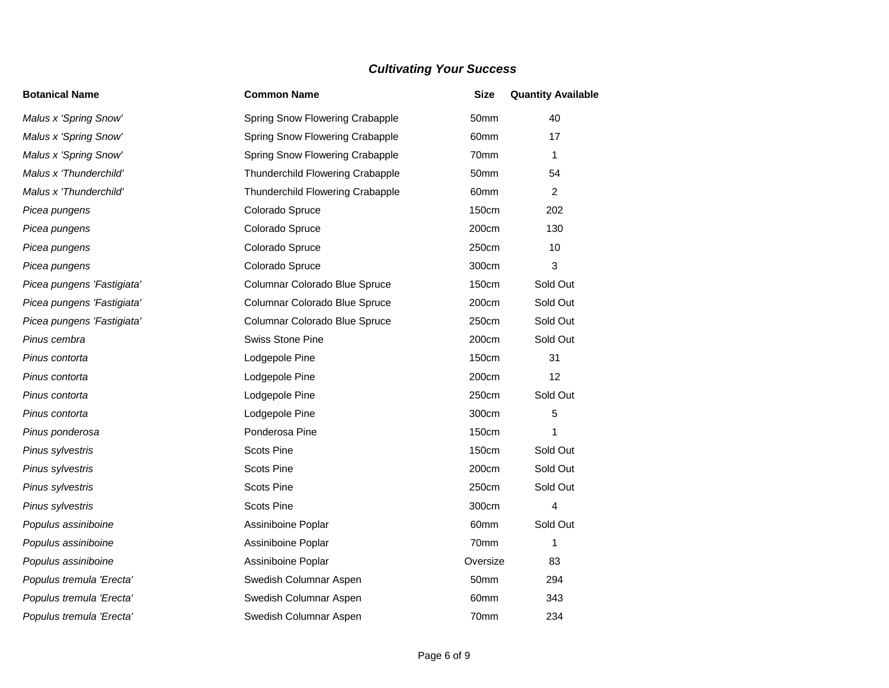| <b>Botanical Name</b>      | <b>Common Name</b>               | <b>Size</b>      | <b>Quantity Available</b> |
|----------------------------|----------------------------------|------------------|---------------------------|
| Malus x 'Spring Snow'      | Spring Snow Flowering Crabapple  | 50mm             | 40                        |
| Malus x 'Spring Snow'      | Spring Snow Flowering Crabapple  | 60 <sub>mm</sub> | 17                        |
| Malus x 'Spring Snow'      | Spring Snow Flowering Crabapple  | 70mm             | 1                         |
| Malus x 'Thunderchild'     | Thunderchild Flowering Crabapple | 50mm             | 54                        |
| Malus x 'Thunderchild'     | Thunderchild Flowering Crabapple | 60mm             | $\overline{2}$            |
| Picea pungens              | Colorado Spruce                  | <b>150cm</b>     | 202                       |
| Picea pungens              | Colorado Spruce                  | 200cm            | 130                       |
| Picea pungens              | Colorado Spruce                  | 250cm            | 10                        |
| Picea pungens              | Colorado Spruce                  | 300cm            | 3                         |
| Picea pungens 'Fastigiata' | Columnar Colorado Blue Spruce    | 150cm            | Sold Out                  |
| Picea pungens 'Fastigiata' | Columnar Colorado Blue Spruce    | 200cm            | Sold Out                  |
| Picea pungens 'Fastigiata' | Columnar Colorado Blue Spruce    | 250cm            | Sold Out                  |
| Pinus cembra               | <b>Swiss Stone Pine</b>          | 200cm            | Sold Out                  |
| Pinus contorta             | Lodgepole Pine                   | 150cm            | 31                        |
| Pinus contorta             | Lodgepole Pine                   | 200cm            | 12                        |
| Pinus contorta             | Lodgepole Pine                   | 250cm            | Sold Out                  |
| Pinus contorta             | Lodgepole Pine                   | 300cm            | 5                         |
| Pinus ponderosa            | Ponderosa Pine                   | 150cm            | 1                         |
| Pinus sylvestris           | <b>Scots Pine</b>                | 150cm            | Sold Out                  |
| Pinus sylvestris           | <b>Scots Pine</b>                | 200cm            | Sold Out                  |
| Pinus sylvestris           | <b>Scots Pine</b>                | 250cm            | Sold Out                  |
| Pinus sylvestris           | <b>Scots Pine</b>                | 300cm            | 4                         |
| Populus assiniboine        | Assiniboine Poplar               | 60mm             | Sold Out                  |
| Populus assiniboine        | Assiniboine Poplar               | 70mm             | 1                         |
| Populus assiniboine        | Assiniboine Poplar               | Oversize         | 83                        |
| Populus tremula 'Erecta'   | Swedish Columnar Aspen           | 50mm             | 294                       |
| Populus tremula 'Erecta'   | Swedish Columnar Aspen           | 60mm             | 343                       |
| Populus tremula 'Erecta'   | Swedish Columnar Aspen           | 70mm             | 234                       |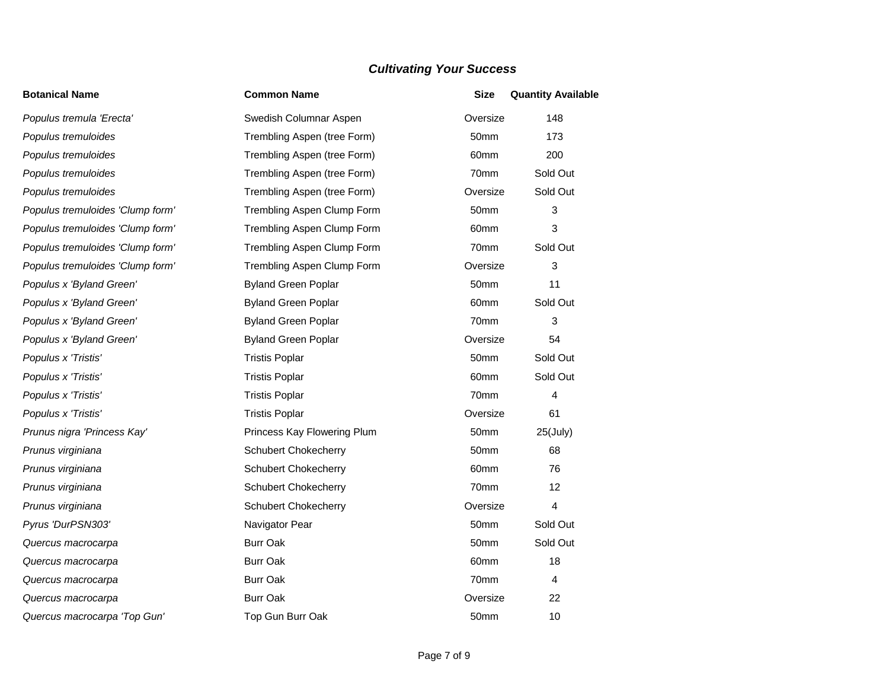| <b>Botanical Name</b>            | <b>Common Name</b>          | <b>Size</b> | <b>Quantity Available</b> |
|----------------------------------|-----------------------------|-------------|---------------------------|
| Populus tremula 'Erecta'         | Swedish Columnar Aspen      | Oversize    | 148                       |
| Populus tremuloides              | Trembling Aspen (tree Form) | 50mm        | 173                       |
| Populus tremuloides              | Trembling Aspen (tree Form) | 60mm        | 200                       |
| Populus tremuloides              | Trembling Aspen (tree Form) | 70mm        | Sold Out                  |
| Populus tremuloides              | Trembling Aspen (tree Form) | Oversize    | Sold Out                  |
| Populus tremuloides 'Clump form' | Trembling Aspen Clump Form  | 50mm        | 3                         |
| Populus tremuloides 'Clump form' | Trembling Aspen Clump Form  | 60mm        | 3                         |
| Populus tremuloides 'Clump form' | Trembling Aspen Clump Form  | 70mm        | Sold Out                  |
| Populus tremuloides 'Clump form' | Trembling Aspen Clump Form  | Oversize    | 3                         |
| Populus x 'Byland Green'         | <b>Byland Green Poplar</b>  | 50mm        | 11                        |
| Populus x 'Byland Green'         | <b>Byland Green Poplar</b>  | 60mm        | Sold Out                  |
| Populus x 'Byland Green'         | <b>Byland Green Poplar</b>  | 70mm        | 3                         |
| Populus x 'Byland Green'         | <b>Byland Green Poplar</b>  | Oversize    | 54                        |
| Populus x 'Tristis'              | <b>Tristis Poplar</b>       | 50mm        | Sold Out                  |
| Populus x 'Tristis'              | <b>Tristis Poplar</b>       | 60mm        | Sold Out                  |
| Populus x 'Tristis'              | <b>Tristis Poplar</b>       | 70mm        | 4                         |
| Populus x 'Tristis'              | <b>Tristis Poplar</b>       | Oversize    | 61                        |
| Prunus nigra 'Princess Kay'      | Princess Kay Flowering Plum | 50mm        | $25$ (July)               |
| Prunus virginiana                | Schubert Chokecherry        | 50mm        | 68                        |
| Prunus virginiana                | <b>Schubert Chokecherry</b> | 60mm        | 76                        |
| Prunus virginiana                | <b>Schubert Chokecherry</b> | 70mm        | 12                        |
| Prunus virginiana                | <b>Schubert Chokecherry</b> | Oversize    | 4                         |
| Pyrus 'DurPSN303'                | Navigator Pear              | 50mm        | Sold Out                  |
| Quercus macrocarpa               | <b>Burr Oak</b>             | 50mm        | Sold Out                  |
| Quercus macrocarpa               | <b>Burr Oak</b>             | 60mm        | 18                        |
| Quercus macrocarpa               | <b>Burr Oak</b>             | 70mm        | 4                         |
| Quercus macrocarpa               | <b>Burr Oak</b>             | Oversize    | 22                        |
| Quercus macrocarpa 'Top Gun'     | Top Gun Burr Oak            | 50mm        | 10                        |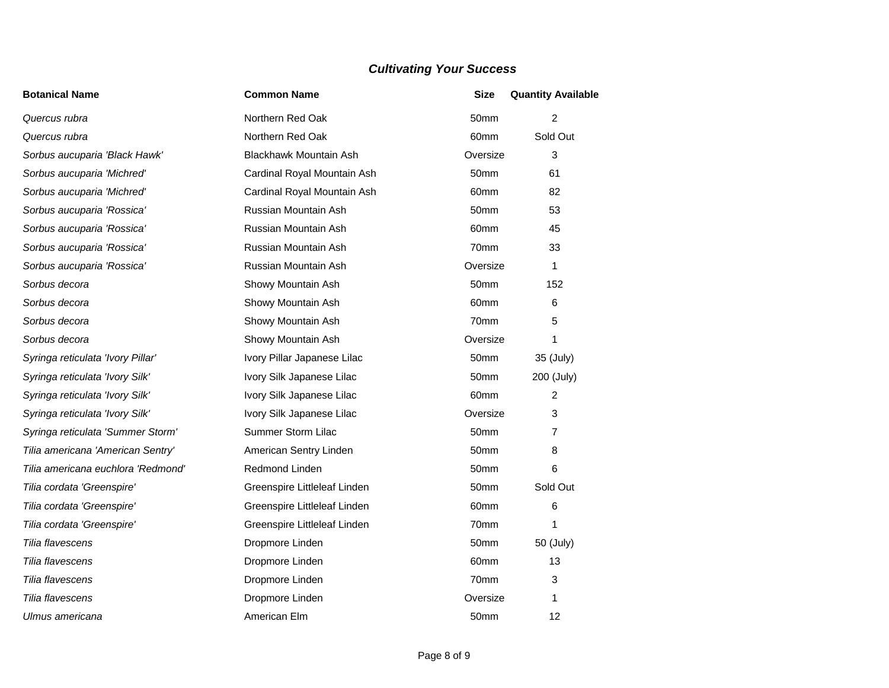| <b>Botanical Name</b>              | <b>Common Name</b>            | <b>Size</b>      | <b>Quantity Available</b> |
|------------------------------------|-------------------------------|------------------|---------------------------|
| Quercus rubra                      | Northern Red Oak              | 50mm             | $\overline{c}$            |
| Quercus rubra                      | Northern Red Oak              | 60 <sub>mm</sub> | Sold Out                  |
| Sorbus aucuparia 'Black Hawk'      | <b>Blackhawk Mountain Ash</b> | Oversize         | 3                         |
| Sorbus aucuparia 'Michred'         | Cardinal Royal Mountain Ash   | 50mm             | 61                        |
| Sorbus aucuparia 'Michred'         | Cardinal Royal Mountain Ash   | 60mm             | 82                        |
| Sorbus aucuparia 'Rossica'         | Russian Mountain Ash          | 50 <sub>mm</sub> | 53                        |
| Sorbus aucuparia 'Rossica'         | Russian Mountain Ash          | 60mm             | 45                        |
| Sorbus aucuparia 'Rossica'         | Russian Mountain Ash          | 70mm             | 33                        |
| Sorbus aucuparia 'Rossica'         | Russian Mountain Ash          | Oversize         | 1                         |
| Sorbus decora                      | Showy Mountain Ash            | 50mm             | 152                       |
| Sorbus decora                      | Showy Mountain Ash            | 60mm             | 6                         |
| Sorbus decora                      | Showy Mountain Ash            | 70 <sub>mm</sub> | 5                         |
| Sorbus decora                      | Showy Mountain Ash            | Oversize         | 1                         |
| Syringa reticulata 'Ivory Pillar'  | Ivory Pillar Japanese Lilac   | 50mm             | 35 (July)                 |
| Syringa reticulata 'Ivory Silk'    | Ivory Silk Japanese Lilac     | 50 <sub>mm</sub> | 200 (July)                |
| Syringa reticulata 'Ivory Silk'    | Ivory Silk Japanese Lilac     | 60 <sub>mm</sub> | 2                         |
| Syringa reticulata 'Ivory Silk'    | Ivory Silk Japanese Lilac     | Oversize         | 3                         |
| Syringa reticulata 'Summer Storm'  | Summer Storm Lilac            | 50mm             | 7                         |
| Tilia americana 'American Sentry'  | American Sentry Linden        | 50 <sub>mm</sub> | 8                         |
| Tilia americana euchlora 'Redmond' | Redmond Linden                | 50 <sub>mm</sub> | 6                         |
| Tilia cordata 'Greenspire'         | Greenspire Littleleaf Linden  | 50 <sub>mm</sub> | Sold Out                  |
| Tilia cordata 'Greenspire'         | Greenspire Littleleaf Linden  | 60mm             | 6                         |
| Tilia cordata 'Greenspire'         | Greenspire Littleleaf Linden  | 70mm             | 1                         |
| Tilia flavescens                   | Dropmore Linden               | 50 <sub>mm</sub> | 50 (July)                 |
| Tilia flavescens                   | Dropmore Linden               | 60mm             | 13                        |
| Tilia flavescens                   | Dropmore Linden               | 70mm             | 3                         |
| Tilia flavescens                   | Dropmore Linden               | Oversize         | 1                         |
| Ulmus americana                    | American Elm                  | 50mm             | 12                        |